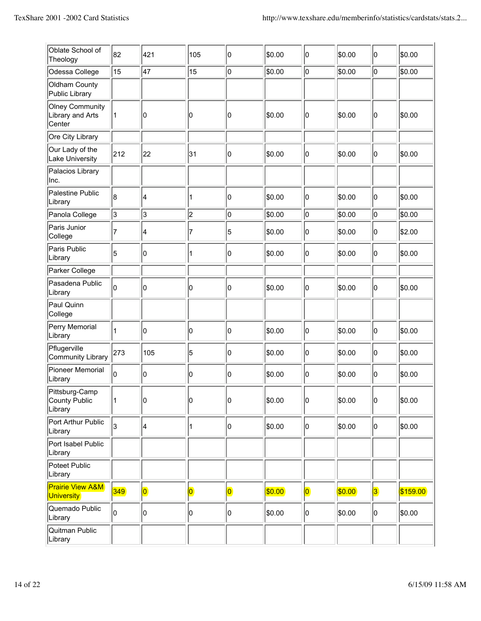| Oblate School of<br>Theology                         | 82           | 421         | 105         | 10          | \$0.00 | 10          | \$0.00 | 10              | \$0.00   |
|------------------------------------------------------|--------------|-------------|-------------|-------------|--------|-------------|--------|-----------------|----------|
| Odessa College                                       | 15           | 47          | 15          | 0           | \$0.00 | lо          | \$0.00 | 10              | \$0.00   |
| Oldham County<br>Public Library                      |              |             |             |             |        |             |        |                 |          |
| <b>Olney Community</b><br>Library and Arts<br>Center | 1            | 10          | 0           | 0           | \$0.00 | 10          | \$0.00 | 10              | 50.00    |
| Ore City Library                                     |              |             |             |             |        |             |        |                 |          |
| Our Lady of the<br><b>Lake University</b>            | 212          | 22          | 31          | 10          | \$0.00 | 10          | \$0.00 | 10              | \$0.00   |
| Palacios Library<br>Inc.                             |              |             |             |             |        |             |        |                 |          |
| Palestine Public<br>Library                          | 8            | 4           | 1           | 10          | \$0.00 | 10          | \$0.00 | 10              | \$0.00   |
| Panola College                                       | 3            | 3           | 2           | o           | \$0.00 | 0           | \$0.00 | 10              | \$0.00   |
| Paris Junior<br>College                              | 7            | 4           | 7           | 5           | \$0.00 | 10          | \$0.00 | 10              | \$2.00   |
| Paris Public<br>Library                              | 5            | 0           |             | 0           | \$0.00 | 10          | \$0.00 | 10              | \$0.00   |
| Parker College                                       |              |             |             |             |        |             |        |                 |          |
| Pasadena Public<br>Library                           | 0            | 0           | 10          | 10          | \$0.00 | 10          | \$0.00 | 10              | \$0.00   |
| Paul Quinn<br>College                                |              |             |             |             |        |             |        |                 |          |
| Perry Memorial<br>Library                            | $\mathbf{1}$ | 10          | 10          | 10          | \$0.00 | 10          | \$0.00 | 10              | \$0.00   |
| Pflugerville<br><b>Community Library</b>             | 273          | 105         | 5           | 10          | \$0.00 | 10          | \$0.00 | 10              | \$0.00   |
| Pioneer Memorial<br>Library                          | lo           | 10          | 10          | 10          | \$0.00 | 10          | \$0.00 | 10              | \$0.00   |
| Pittsburg-Camp<br><b>County Public</b><br>Library    | 1            | 10          | 10          | 10          | \$0.00 | 10          | \$0.00 | 10              | \$0.00   |
| Port Arthur Public<br>Library                        | 3            | 4           | 1           | 10          | \$0.00 | 10          | \$0.00 | 10              | \$0.00   |
| Port Isabel Public<br>Library                        |              |             |             |             |        |             |        |                 |          |
| Poteet Public<br>Library                             |              |             |             |             |        |             |        |                 |          |
| <b>Prairie View A&amp;M</b><br><b>University</b>     | 349          | $ 0\rangle$ | $ 0\rangle$ | $ 0\rangle$ | \$0.00 | $ 0\rangle$ | \$0.00 | $\vert 3 \vert$ | \$159.00 |
| Quemado Public<br>Library                            | lo           | 10          | 0           | 10          | \$0.00 | 0           | \$0.00 | 10              | \$0.00   |
| Quitman Public<br>Library                            |              |             |             |             |        |             |        |                 |          |